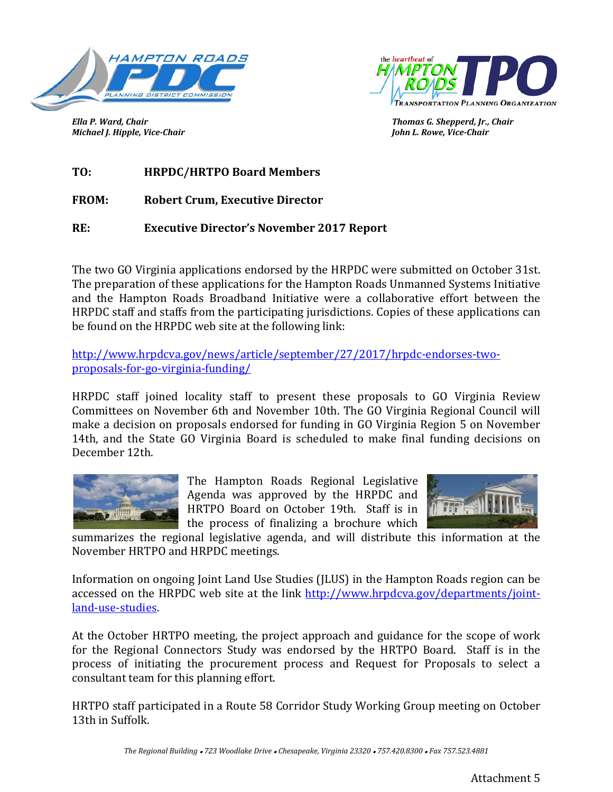



*Michael J. Hipple, Vice-Chair John L. Rowe, Vice-Chair*

*Ella P. Ward, Chair Thomas G. Shepperd, Jr., Chair*

**TO: HRPDC/HRTPO Board Members**

**FROM: Robert Crum, Executive Director**

## **RE: Executive Director's November 2017 Report**

The two GO Virginia applications endorsed by the HRPDC were submitted on October 31st. The preparation of these applications for the Hampton Roads Unmanned Systems Initiative and the Hampton Roads Broadband Initiative were a collaborative effort between the HRPDC staff and staffs from the participating jurisdictions. Copies of these applications can be found on the HRPDC web site at the following link:

[http://www.hrpdcva.gov/news/article/september/27/2017/hrpdc-endorses-two](http://www.hrpdcva.gov/news/article/september/27/2017/hrpdc-endorses-two-proposals-for-go-virginia-funding/)[proposals-for-go-virginia-funding/](http://www.hrpdcva.gov/news/article/september/27/2017/hrpdc-endorses-two-proposals-for-go-virginia-funding/)

HRPDC staff joined locality staff to present these proposals to GO Virginia Review Committees on November 6th and November 10th. The GO Virginia Regional Council will make a decision on proposals endorsed for funding in GO Virginia Region 5 on November 14th, and the State GO Virginia Board is scheduled to make final funding decisions on December 12th.



The Hampton Roads Regional Legislative Agenda was approved by the HRPDC and HRTPO Board on October 19th. Staff is in the process of finalizing a brochure which



summarizes the regional legislative agenda, and will distribute this information at the November HRTPO and HRPDC meetings.

Information on ongoing Joint Land Use Studies (JLUS) in the Hampton Roads region can be accessed on the HRPDC web site at the link [http://www.hrpdcva.gov/departments/joint](http://www.hrpdcva.gov/departments/joint-land-use-studies)[land-use-studies.](http://www.hrpdcva.gov/departments/joint-land-use-studies)

At the October HRTPO meeting, the project approach and guidance for the scope of work for the Regional Connectors Study was endorsed by the HRTPO Board. Staff is in the process of initiating the procurement process and Request for Proposals to select a consultant team for this planning effort.

HRTPO staff participated in a Route 58 Corridor Study Working Group meeting on October 13th in Suffolk.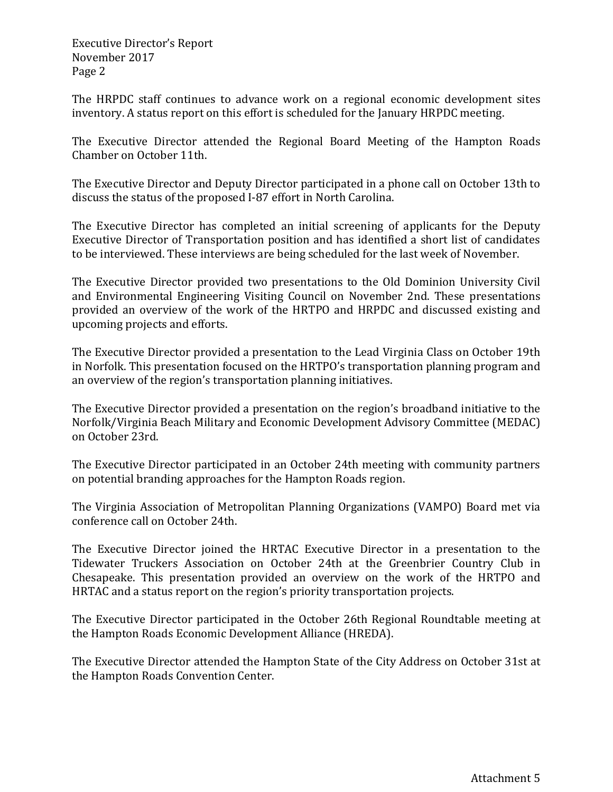Executive Director's Report November 2017 Page 2

The HRPDC staff continues to advance work on a regional economic development sites inventory. A status report on this effort is scheduled for the January HRPDC meeting.

The Executive Director attended the Regional Board Meeting of the Hampton Roads Chamber on October 11th.

The Executive Director and Deputy Director participated in a phone call on October 13th to discuss the status of the proposed I-87 effort in North Carolina.

The Executive Director has completed an initial screening of applicants for the Deputy Executive Director of Transportation position and has identified a short list of candidates to be interviewed. These interviews are being scheduled for the last week of November.

The Executive Director provided two presentations to the Old Dominion University Civil and Environmental Engineering Visiting Council on November 2nd. These presentations provided an overview of the work of the HRTPO and HRPDC and discussed existing and upcoming projects and efforts.

The Executive Director provided a presentation to the Lead Virginia Class on October 19th in Norfolk. This presentation focused on the HRTPO's transportation planning program and an overview of the region's transportation planning initiatives.

The Executive Director provided a presentation on the region's broadband initiative to the Norfolk/Virginia Beach Military and Economic Development Advisory Committee (MEDAC) on October 23rd.

The Executive Director participated in an October 24th meeting with community partners on potential branding approaches for the Hampton Roads region.

The Virginia Association of Metropolitan Planning Organizations (VAMPO) Board met via conference call on October 24th.

The Executive Director joined the HRTAC Executive Director in a presentation to the Tidewater Truckers Association on October 24th at the Greenbrier Country Club in Chesapeake. This presentation provided an overview on the work of the HRTPO and HRTAC and a status report on the region's priority transportation projects.

The Executive Director participated in the October 26th Regional Roundtable meeting at the Hampton Roads Economic Development Alliance (HREDA).

The Executive Director attended the Hampton State of the City Address on October 31st at the Hampton Roads Convention Center.